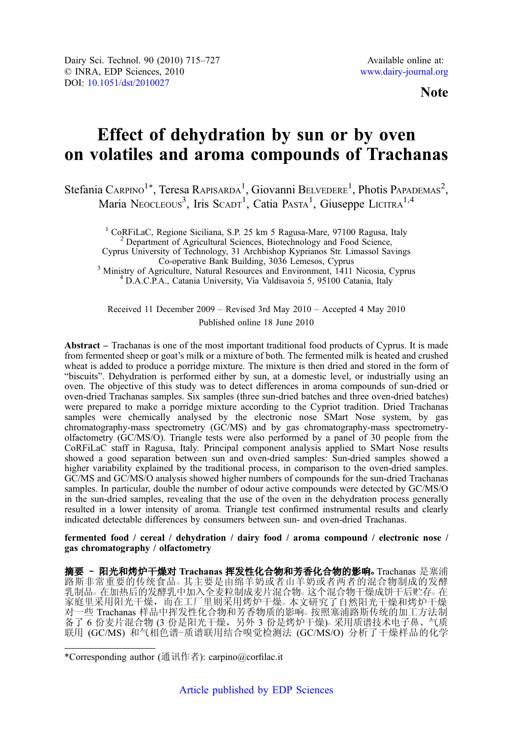**Note** 

# Effect of dehydration by sun or by oven on volatiles and aroma compounds of Trachanas

Stefania Carpino<sup>1\*</sup>, Teresa Rapisarda<sup>1</sup>, Giovanni Belvedere<sup>1</sup>, Photis Papademas<sup>2</sup>, Maria Neocleous<sup>3</sup>, Iris Scapr<sup>1</sup>, Catia Pasta<sup>1</sup>, Giuseppe LICITRA<sup>1,4</sup>

<sup>1</sup> CoRFiLaC, Regione Siciliana, S.P. 25 km 5 Ragusa-Mare, 97100 Ragusa, Italy <sup>2</sup> Department of Agricultural Sciences, Biotechnology and Food Science, Cyprus University of Technology, 31 Archbishop Kyprianos Str. Limassol Savings <sup>3</sup> Ministry of Agriculture, Natural Resources and Environment, 1411 Nicosia, Cyprus  $4$  D.A.C.P.A., Catania University, Via Valdisavoia 5, 95100 Catania, Italy

Received 11 December 2009 – Revised 3rd May 2010 – Accepted 4 May 2010 Published online 18 June 2010

Abstract – Trachanas is one of the most important traditional food products of Cyprus. It is made from fermented sheep or goat's milk or a mixture of both. The fermented milk is heated and crushed wheat is added to produce a porridge mixture. The mixture is then dried and stored in the form of "biscuits". Dehydration is performed either by sun, at a domestic level, or industrially using an oven. The objective of this study was to detect differences in aroma compounds of sun-dried or oven-dried Trachanas samples. Six samples (three sun-dried batches and three oven-dried batches) were prepared to make a porridge mixture according to the Cypriot tradition. Dried Trachanas samples were chemically analysed by the electronic nose SMart Nose system, by gas chromatography-mass spectrometry (GC/MS) and by gas chromatography-mass spectrometryolfactometry (GC/MS/O). Triangle tests were also performed by a panel of 30 people from the CoRFiLaC staff in Ragusa, Italy. Principal component analysis applied to SMart Nose results showed a good separation between sun and oven-dried samples: Sun-dried samples showed a higher variability explained by the traditional process, in comparison to the oven-dried samples. GC/MS and GC/MS/O analysis showed higher numbers of compounds for the sun-dried Trachanas samples. In particular, double the number of odour active compounds were detected by GC/MS/O in the sun-dried samples, revealing that the use of the oven in the dehydration process generally resulted in a lower intensity of aroma. Triangle test confirmed instrumental results and clearly indicated detectable differences by consumers between sun- and oven-dried Trachanas.

fermented food / cereal / dehydration / dairy food / aroma compound / electronic nose / gas chromatography / olfactometry

摘要 - 阳光和烤炉干燥对 Trachanas 挥发性化合物和芳香化合物的影响。Trachanas 是塞浦 路斯非常重要的传统食品。其主要是由绵羊奶或者山羊奶或者两者的混合物制成的发酵 乳制品。在加热后的发酵乳中加入全麦粒制成麦片混合物。这个混合物干燥成饼干后贮存。在 家庭里采用阳光干燥,而在工厂里则采用烤炉干燥。本文研究了自然阳光干燥和烤炉干燥 对一些 Trachanas 样品中挥发性化合物和芳香物质的影响。按照塞浦路斯传统的加工方法制 备了 6 份麦片混合物 (3 份是阳光干燥, 另外 3 份是烤炉干燥)。采用质谱技术电子鼻、气质 联用 (GC/MS) 和气相色谱-质谱联用结合嗅觉检测法 (GC/MS/O) 分析了干燥样品的化学

<sup>\*</sup>Corresponding author (通讯作者): carpino@corfilac.it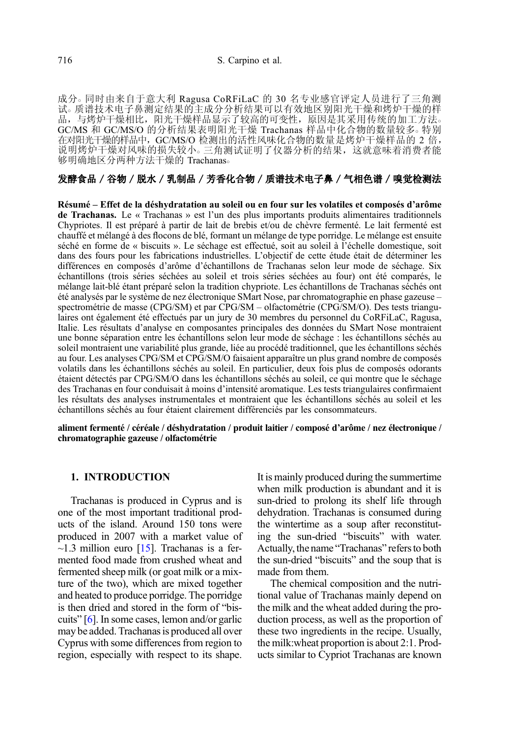成分○ 同时由来自于意大利 Ragusa CoRFiLaC 的 30 名专业感官评定人员进行了三角测 试。质谱技术电子鼻测定结果的主成分分析结果可以有效地区别阳光干燥和烤炉干燥的样 品,与烤炉干燥相比,阳光干燥样品显示了较高的可变性,原因是其采用传统的加工方法。 GC/MS 和 GC/MS/O 的分析结果表明阳光干燥 Trachanas 样品中化合物的数量较多。特别 在对阳光干燥的样品中,GC/MS/O 检测出的活性风味化合物的数量是烤炉干燥样品的 2 倍, 说明烤炉干燥对风味的损失较小。三角测试证明了仪器分析的结果,这就意味着消费者能 够明确地区分两种方法干燥的 Trachanas○

# 发酵食品 / 谷物 / 脱水 / 乳制品 / 芳香化合物 / 质谱技术电子鼻 / 气相色谱 / 嗅觉检测法

Résumé – Effet de la déshydratation au soleil ou en four sur les volatiles et composés d'arôme de Trachanas. Le « Trachanas » est l'un des plus importants produits alimentaires traditionnels Chypriotes. Il est préparé à partir de lait de brebis et/ou de chèvre fermenté. Le lait fermenté est chauffé et mélangé à des flocons de blé, formant un mélange de type porridge. Le mélange est ensuite séché en forme de « biscuits ». Le séchage est effectué, soit au soleil à l'échelle domestique, soit dans des fours pour les fabrications industrielles. L'objectif de cette étude était de déterminer les différences en composés d'arôme d'échantillons de Trachanas selon leur mode de séchage. Six échantillons (trois séries séchées au soleil et trois séries séchées au four) ont été comparés, le mélange lait-blé étant préparé selon la tradition chypriote. Les échantillons de Trachanas séchés ont été analysés par le système de nez électronique SMart Nose, par chromatographie en phase gazeuse – spectrométrie de masse (CPG/SM) et par CPG/SM – olfactométrie (CPG/SM/O). Des tests triangulaires ont également été effectués par un jury de 30 membres du personnel du CoRFiLaC, Ragusa, Italie. Les résultats d'analyse en composantes principales des données du SMart Nose montraient une bonne séparation entre les échantillons selon leur mode de séchage : les échantillons séchés au soleil montraient une variabilité plus grande, liée au procédé traditionnel, que les échantillons séchés au four. Les analyses CPG/SM et CPG/SM/O faisaient apparaître un plus grand nombre de composés volatils dans les échantillons séchés au soleil. En particulier, deux fois plus de composés odorants étaient détectés par CPG/SM/O dans les échantillons séchés au soleil, ce qui montre que le séchage des Trachanas en four conduisait à moins d'intensité aromatique. Les tests triangulaires confirmaient les résultats des analyses instrumentales et montraient que les échantillons séchés au soleil et les échantillons séchés au four étaient clairement différenciés par les consommateurs.

aliment fermenté / céréale / déshydratation / produit laitier / composé d'arôme / nez électronique / chromatographie gazeuse / olfactométrie

## 1. INTRODUCTION

Trachanas is produced in Cyprus and is one of the most important traditional products of the island. Around 150 tons were produced in 2007 with a market value of  $\sim$ 1.3 million euro [\[15](#page-12-0)]. Trachanas is a fermented food made from crushed wheat and fermented sheep milk (or goat milk or a mixture of the two), which are mixed together and heated to produce porridge. The porridge is then dried and stored in the form of "biscuits" [[6](#page-12-0)]. In some cases, lemon and/or garlic may be added. Trachanas is produced all over Cyprus with some differences from region to region, especially with respect to its shape. It is mainly produced during the summertime when milk production is abundant and it is sun-dried to prolong its shelf life through dehydration. Trachanas is consumed during the wintertime as a soup after reconstituting the sun-dried "biscuits" with water. Actually, the name "Trachanas" refers to both the sun-dried "biscuits" and the soup that is made from them.

The chemical composition and the nutritional value of Trachanas mainly depend on the milk and the wheat added during the production process, as well as the proportion of these two ingredients in the recipe. Usually, the milk:wheat proportion is about 2:1. Products similar to Cypriot Trachanas are known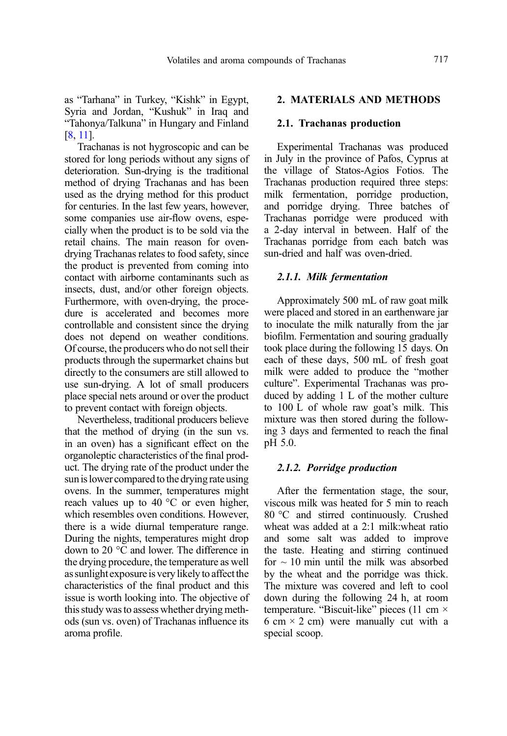as "Tarhana" in Turkey, "Kishk" in Egypt, Syria and Jordan, "Kushuk" in Iraq and "Tahonya/Talkuna" in Hungary and Finland [[8](#page-12-0), [11\]](#page-12-0).

Trachanas is not hygroscopic and can be stored for long periods without any signs of deterioration. Sun-drying is the traditional method of drying Trachanas and has been used as the drying method for this product for centuries. In the last few years, however, some companies use air-flow ovens, especially when the product is to be sold via the retail chains. The main reason for ovendrying Trachanas relates to food safety, since the product is prevented from coming into contact with airborne contaminants such as insects, dust, and/or other foreign objects. Furthermore, with oven-drying, the procedure is accelerated and becomes more controllable and consistent since the drying does not depend on weather conditions. Of course, the producers who do not sell their products through the supermarket chains but directly to the consumers are still allowed to use sun-drying. A lot of small producers place special nets around or over the product to prevent contact with foreign objects.

Nevertheless, traditional producers believe that the method of drying (in the sun vs. in an oven) has a significant effect on the organoleptic characteristics of the final product. The drying rate of the product under the sun is lower compared to the drying rate using ovens. In the summer, temperatures might reach values up to 40  $\degree$ C or even higher, which resembles oven conditions. However, there is a wide diurnal temperature range. During the nights, temperatures might drop down to 20 °C and lower. The difference in the drying procedure, the temperature as well as sunlight exposure is very likely to affect the characteristics of the final product and this issue is worth looking into. The objective of this study was to assess whether drying methods (sun vs. oven) of Trachanas influence its aroma profile.

### 2. MATERIALS AND METHODS

## 2.1. Trachanas production

Experimental Trachanas was produced in July in the province of Pafos, Cyprus at the village of Statos-Agios Fotios. The Trachanas production required three steps: milk fermentation, porridge production, and porridge drying. Three batches of Trachanas porridge were produced with a 2-day interval in between. Half of the Trachanas porridge from each batch was sun-dried and half was oven-dried.

#### 2.1.1. Milk fermentation

Approximately 500 mL of raw goat milk were placed and stored in an earthenware jar to inoculate the milk naturally from the jar biofilm. Fermentation and souring gradually took place during the following 15 days. On each of these days, 500 mL of fresh goat milk were added to produce the "mother culture". Experimental Trachanas was produced by adding 1 L of the mother culture to 100 L of whole raw goat's milk. This mixture was then stored during the following 3 days and fermented to reach the final pH 5.0.

## 2.1.2. Porridge production

After the fermentation stage, the sour, viscous milk was heated for 5 min to reach 80 °C and stirred continuously. Crushed wheat was added at a 2:1 milk:wheat ratio and some salt was added to improve the taste. Heating and stirring continued for  $\sim$  10 min until the milk was absorbed by the wheat and the porridge was thick. The mixture was covered and left to cool down during the following 24 h, at room temperature. "Biscuit-like" pieces (11 cm × 6 cm  $\times$  2 cm) were manually cut with a special scoop.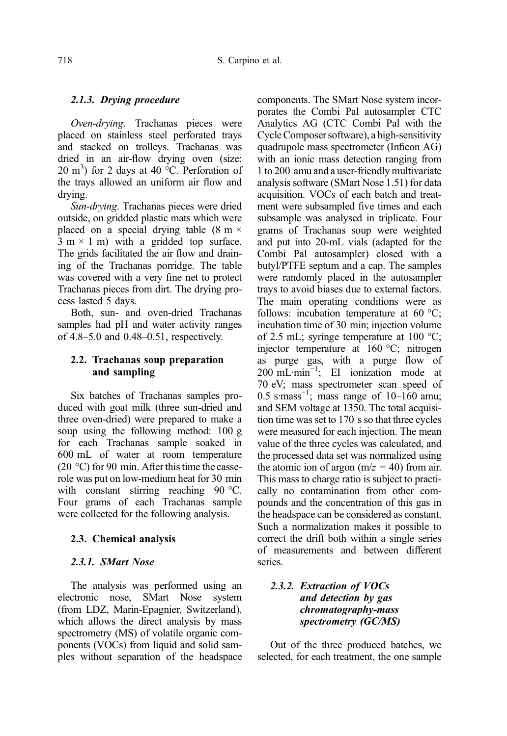# 2.1.3. Drying procedure

Oven-drying. Trachanas pieces were placed on stainless steel perforated trays and stacked on trolleys. Trachanas was dried in an air-flow drying oven (size: 20 m<sup>3</sup>) for 2 days at 40  $\degree$ C. Perforation of the trays allowed an uniform air flow and drying.

Sun-drying. Trachanas pieces were dried outside, on gridded plastic mats which were placed on a special drying table  $(8 \text{ m} \times$  $3 \text{ m} \times 1 \text{ m}$ ) with a gridded top surface. The grids facilitated the air flow and draining of the Trachanas porridge. The table was covered with a very fine net to protect Trachanas pieces from dirt. The drying process lasted 5 days.

Both, sun- and oven-dried Trachanas samples had pH and water activity ranges of 4.8–5.0 and 0.48–0.51, respectively.

# 2.2. Trachanas soup preparation and sampling

Six batches of Trachanas samples produced with goat milk (three sun-dried and three oven-dried) were prepared to make a soup using the following method: 100 g for each Trachanas sample soaked in 600 mL of water at room temperature (20  $^{\circ}$ C) for 90 min. After this time the casserole was put on low-medium heat for 30 min with constant stirring reaching 90 °C. Four grams of each Trachanas sample were collected for the following analysis.

# 2.3. Chemical analysis

# 2.3.1. SMart Nose

The analysis was performed using an electronic nose, SMart Nose system (from LDZ, Marin-Epagnier, Switzerland), which allows the direct analysis by mass spectrometry (MS) of volatile organic components (VOCs) from liquid and solid samples without separation of the headspace components. The SMart Nose system incorporates the Combi Pal autosampler CTC Analytics AG (CTC Combi Pal with the Cycle Composer software), a high-sensitivity quadrupole mass spectrometer (Inficon AG) with an ionic mass detection ranging from 1 to 200 amu and a user-friendly multivariate analysis software (SMart Nose 1.51) for data acquisition. VOCs of each batch and treatment were subsampled five times and each subsample was analysed in triplicate. Four grams of Trachanas soup were weighted and put into 20-mL vials (adapted for the Combi Pal autosampler) closed with a butyl/PTFE septum and a cap. The samples were randomly placed in the autosampler trays to avoid biases due to external factors. The main operating conditions were as follows: incubation temperature at 60 °C; incubation time of 30 min; injection volume of 2.5 mL; syringe temperature at 100 °C; injector temperature at 160 °C; nitrogen as purge gas, with a purge flow of 200 mL·min−<sup>1</sup> ; EI ionization mode at 70 eV; mass spectrometer scan speed of 0.5 s·mass<sup>-1</sup>; mass range of 10–160 amu; and SEM voltage at 1350. The total acquisition time was set to 170 s so that three cycles were measured for each injection. The mean value of the three cycles was calculated, and the processed data set was normalized using the atomic ion of argon ( $m/z = 40$ ) from air. This mass to charge ratio is subject to practically no contamination from other compounds and the concentration of this gas in the headspace can be considered as constant. Such a normalization makes it possible to correct the drift both within a single series of measurements and between different series.

# 2.3.2. Extraction of VOCs and detection by gas chromatography-mass spectrometry (GC/MS)

Out of the three produced batches, we selected, for each treatment, the one sample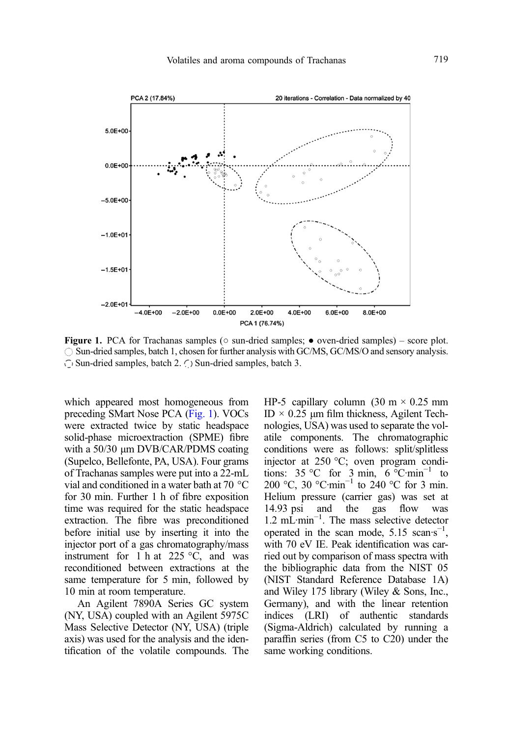<span id="page-4-0"></span>

**Figure 1.** PCA for Trachanas samples ( $\circ$  sun-dried samples;  $\bullet$  oven-dried samples) – score plot. Sun-dried samples, batch 1, chosen for further analysis with GC/MS, GC/MS/O and sensory analysis.  $\bigcirc$  Sun-dried samples, batch 2.  $\bigcirc$  Sun-dried samples, batch 3.

which appeared most homogeneous from preceding SMart Nose PCA (Fig. 1). VOCs were extracted twice by static headspace solid-phase microextraction (SPME) fibre with a 50/30 μm DVB/CAR/PDMS coating (Supelco, Bellefonte, PA, USA). Four grams of Trachanas samples were put into a 22-mL vial and conditioned in a water bath at 70 °C for 30 min. Further 1 h of fibre exposition time was required for the static headspace extraction. The fibre was preconditioned before initial use by inserting it into the injector port of a gas chromatography/mass instrument for 1 h at 225  $\degree$ C, and was reconditioned between extractions at the same temperature for 5 min, followed by 10 min at room temperature.

An Agilent 7890A Series GC system (NY, USA) coupled with an Agilent 5975C Mass Selective Detector (NY, USA) (triple axis) was used for the analysis and the identification of the volatile compounds. The HP-5 capillary column  $(30 \text{ m} \times 0.25 \text{ mm})$ ID × 0.25 μm film thickness, Agilent Technologies, USA) was used to separate the volatile components. The chromatographic conditions were as follows: split/splitless injector at 250 °C; oven program conditions:  $35 \,^{\circ}\text{C}$  for  $3 \text{ min}$ ,  $6 \,^{\circ}\text{C} \cdot \text{min}^{-1}$  to 200 °C, 30 °C·min<sup>-1</sup> to 240 °C for 3 min. Helium pressure (carrier gas) was set at 14.93 psi and the gas flow was 1.2 mL·min−<sup>1</sup> . The mass selective detector operated in the scan mode,  $5.15$  scan $\cdot$ s<sup>-1</sup>, with 70 eV IE. Peak identification was carried out by comparison of mass spectra with the bibliographic data from the NIST 05 (NIST Standard Reference Database 1A) and Wiley 175 library (Wiley & Sons, Inc., Germany), and with the linear retention indices (LRI) of authentic standards (Sigma-Aldrich) calculated by running a paraffin series (from C5 to C20) under the same working conditions.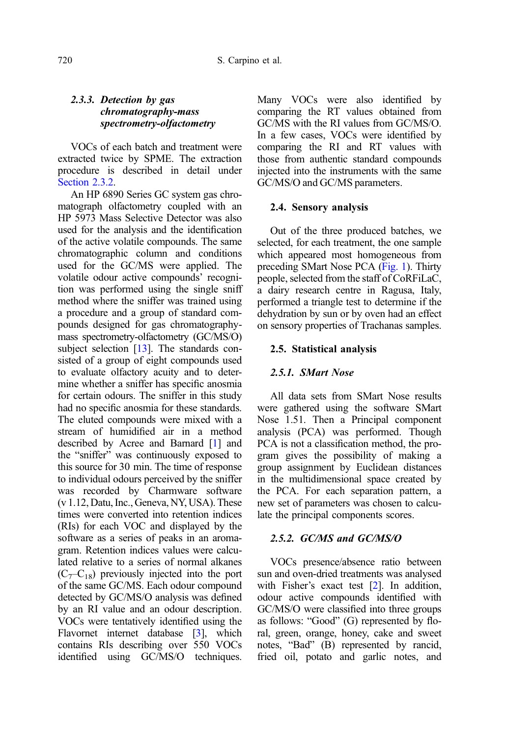# 2.3.3. Detection by gas chromatography-mass spectrometry-olfactometry

VOCs of each batch and treatment were extracted twice by SPME. The extraction procedure is described in detail under Section 2.3.2.

An HP 6890 Series GC system gas chromatograph olfactometry coupled with an HP 5973 Mass Selective Detector was also used for the analysis and the identification of the active volatile compounds. The same chromatographic column and conditions used for the GC/MS were applied. The volatile odour active compounds' recognition was performed using the single sniff method where the sniffer was trained using a procedure and a group of standard compounds designed for gas chromatographymass spectrometry-olfactometry (GC/MS/O) subject selection  $[13]$  $[13]$ . The standards consisted of a group of eight compounds used to evaluate olfactory acuity and to determine whether a sniffer has specific anosmia for certain odours. The sniffer in this study had no specific anosmia for these standards. The eluted compounds were mixed with a stream of humidified air in a method described by Acree and Barnard [\[1](#page-11-0)] and the "sniffer" was continuously exposed to this source for 30 min. The time of response to individual odours perceived by the sniffer was recorded by Charmware software (v 1.12, Datu, Inc., Geneva, NY, USA). These times were converted into retention indices (RIs) for each VOC and displayed by the software as a series of peaks in an aromagram. Retention indices values were calculated relative to a series of normal alkanes  $(C_7-C_{18})$  previously injected into the port of the same GC/MS. Each odour compound detected by GC/MS/O analysis was defined by an RI value and an odour description. VOCs were tentatively identified using the Flavornet internet database [[3\]](#page-11-0), which contains RIs describing over 550 VOCs identified using GC/MS/O techniques. Many VOCs were also identified by comparing the RT values obtained from GC/MS with the RI values from GC/MS/O. In a few cases, VOCs were identified by comparing the RI and RT values with those from authentic standard compounds injected into the instruments with the same GC/MS/O and GC/MS parameters.

#### 2.4. Sensory analysis

Out of the three produced batches, we selected, for each treatment, the one sample which appeared most homogeneous from preceding SMart Nose PCA ([Fig. 1](#page-4-0)). Thirty people, selected from the staff of CoRFiLaC, a dairy research centre in Ragusa, Italy, performed a triangle test to determine if the dehydration by sun or by oven had an effect on sensory properties of Trachanas samples.

#### 2.5. Statistical analysis

#### 2.5.1. SMart Nose

All data sets from SMart Nose results were gathered using the software SMart Nose 1.51. Then a Principal component analysis (PCA) was performed. Though PCA is not a classification method, the program gives the possibility of making a group assignment by Euclidean distances in the multidimensional space created by the PCA. For each separation pattern, a new set of parameters was chosen to calculate the principal components scores.

## 2.5.2. GC/MS and GC/MS/O

VOCs presence/absence ratio between sun and oven-dried treatments was analysed with Fisher's exact test [\[2\]](#page-11-0). In addition, odour active compounds identified with GC/MS/O were classified into three groups as follows: "Good" (G) represented by floral, green, orange, honey, cake and sweet notes, "Bad" (B) represented by rancid, fried oil, potato and garlic notes, and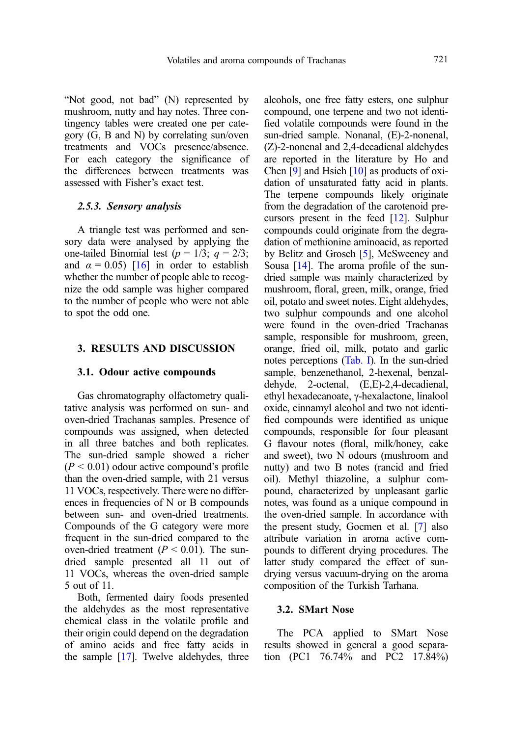"Not good, not bad" (N) represented by mushroom, nutty and hay notes. Three contingency tables were created one per category (G, B and N) by correlating sun/oven treatments and VOCs presence/absence. For each category the significance of the differences between treatments was assessed with Fisher's exact test.

#### 2.5.3. Sensory analysis

A triangle test was performed and sensory data were analysed by applying the one-tailed Binomial test ( $p = 1/3$ ;  $q = 2/3$ ; and  $\alpha = 0.05$ ) [\[16\]](#page-12-0) in order to establish whether the number of people able to recognize the odd sample was higher compared to the number of people who were not able to spot the odd one.

## 3. RESULTS AND DISCUSSION

#### 3.1. Odour active compounds

Gas chromatography olfactometry qualitative analysis was performed on sun- and oven-dried Trachanas samples. Presence of compounds was assigned, when detected in all three batches and both replicates. The sun-dried sample showed a richer  $(P < 0.01)$  odour active compound's profile than the oven-dried sample, with 21 versus 11 VOCs, respectively. There were no differences in frequencies of N or B compounds between sun- and oven-dried treatments. Compounds of the G category were more frequent in the sun-dried compared to the oven-dried treatment ( $P < 0.01$ ). The sundried sample presented all 11 out of 11 VOCs, whereas the oven-dried sample 5 out of 11.

Both, fermented dairy foods presented the aldehydes as the most representative chemical class in the volatile profile and their origin could depend on the degradation of amino acids and free fatty acids in the sample [\[17](#page-12-0)]. Twelve aldehydes, three alcohols, one free fatty esters, one sulphur compound, one terpene and two not identified volatile compounds were found in the sun-dried sample. Nonanal, (E)-2-nonenal, (Z)-2-nonenal and 2,4-decadienal aldehydes are reported in the literature by Ho and Chen [\[9\]](#page-12-0) and Hsieh [[10](#page-12-0)] as products of oxidation of unsaturated fatty acid in plants. The terpene compounds likely originate from the degradation of the carotenoid precursors present in the feed [\[12\]](#page-12-0). Sulphur compounds could originate from the degradation of methionine aminoacid, as reported by Belitz and Grosch [[5\]](#page-12-0), McSweeney and Sousa [\[14\]](#page-12-0). The aroma profile of the sundried sample was mainly characterized by mushroom, floral, green, milk, orange, fried oil, potato and sweet notes. Eight aldehydes, two sulphur compounds and one alcohol were found in the oven-dried Trachanas sample, responsible for mushroom, green, orange, fried oil, milk, potato and garlic notes perceptions [\(Tab. I\)](#page-9-0). In the sun-dried sample, benzenethanol, 2-hexenal, benzaldehyde, 2-octenal, (E,E)-2,4-decadienal, ethyl hexadecanoate, γ-hexalactone, linalool oxide, cinnamyl alcohol and two not identified compounds were identified as unique compounds, responsible for four pleasant G flavour notes (floral, milk/honey, cake and sweet), two N odours (mushroom and nutty) and two B notes (rancid and fried oil). Methyl thiazoline, a sulphur compound, characterized by unpleasant garlic notes, was found as a unique compound in the oven-dried sample. In accordance with the present study, Gocmen et al. [[7\]](#page-12-0) also attribute variation in aroma active compounds to different drying procedures. The latter study compared the effect of sundrying versus vacuum-drying on the aroma composition of the Turkish Tarhana.

## 3.2. SMart Nose

The PCA applied to SMart Nose results showed in general a good separation (PC1 76.74% and PC2 17.84%)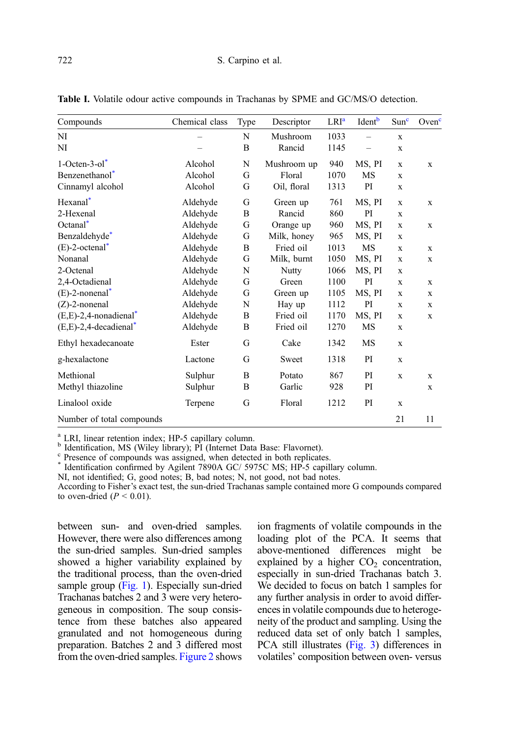| Compounds                    | Chemical class | Type | Descriptor  | LRI <sup>a</sup> | Ident <sup>b</sup> | Sum <sup>c</sup> | Oven <sup>c</sup> |
|------------------------------|----------------|------|-------------|------------------|--------------------|------------------|-------------------|
| NI                           |                | N    | Mushroom    | 1033             |                    | $\mathbf x$      |                   |
| NI                           |                | B    | Rancid      | 1145             |                    | X                |                   |
| $1$ -Octen-3-ol <sup>*</sup> | Alcohol        | N    | Mushroom up | 940              | MS, PI             | X                | $\mathbf x$       |
| Benzenethanol <sup>*</sup>   | Alcohol        | G    | Floral      | 1070             | MS                 | X                |                   |
| Cinnamyl alcohol             | Alcohol        | G    | Oil, floral | 1313             | PI                 | X                |                   |
| Hexanal <sup>*</sup>         | Aldehyde       | G    | Green up    | 761              | MS, PI             | X                | $\mathbf x$       |
| 2-Hexenal                    | Aldehyde       | B    | Rancid      | 860              | PI                 | X                |                   |
| Octanal <sup>*</sup>         | Aldehyde       | G    | Orange up   | 960              | MS, PI             | X                | X                 |
| Benzaldehyde*                | Aldehyde       | G    | Milk, honey | 965              | MS, PI             | X                |                   |
| $(E)$ -2-octenal*            | Aldehyde       | B    | Fried oil   | 1013             | <b>MS</b>          | X                | $\mathbf x$       |
| Nonanal                      | Aldehyde       | G    | Milk, burnt | 1050             | MS, PI             | X                | X                 |
| 2-Octenal                    | Aldehyde       | N    | Nutty       | 1066             | MS, PI             | X                |                   |
| 2,4-Octadienal               | Aldehyde       | G    | Green       | 1100             | PI                 | X                | $\mathbf x$       |
| $(E)$ -2-nonenal*            | Aldehyde       | G    | Green up    | 1105             | MS, PI             | X                | X                 |
| $(Z)$ -2-nonenal             | Aldehyde       | N    | Hay up      | 1112             | PI                 | X                | X                 |
| $(E,E)-2,4$ -nonadienal      | Aldehyde       | B    | Fried oil   | 1170             | MS, PI             | X                | X                 |
| $(E,E)-2,4-decadienal^*$     | Aldehyde       | B    | Fried oil   | 1270             | MS                 | X                |                   |
| Ethyl hexadecanoate          | Ester          | G    | Cake        | 1342             | MS                 | $\mathbf x$      |                   |
| g-hexalactone                | Lactone        | G    | Sweet       | 1318             | PI                 | $\mathbf x$      |                   |
| Methional                    | Sulphur        | B    | Potato      | 867              | PI                 | $\mathbf x$      | $\mathbf x$       |
| Methyl thiazoline            | Sulphur        | B    | Garlic      | 928              | PI                 |                  | X                 |
| Linalool oxide               | Terpene        | G    | Floral      | 1212             | PI                 | X                |                   |
| Number of total compounds    |                |      |             |                  |                    | 21               | 11                |

<span id="page-7-0"></span>Table I. Volatile odour active compounds in Trachanas by SPME and GC/MS/O detection.

<sup>a</sup> LRI, linear retention index; HP-5 capillary column.<br>
<sup>b</sup> Identification, MS (Wiley library); PI (Internet Data Base: Flavornet).<br>
<sup>c</sup> Presence of compounds was assigned, when detected in both replicates.<br>
<sup>\*</sup> Identific

NI, not identified; G, good notes; B, bad notes; N, not good, not bad notes.

According to Fisher's exact test, the sun-dried Trachanas sample contained more G compounds compared to oven-dried  $(P < 0.01)$ .

between sun- and oven-dried samples. However, there were also differences among the sun-dried samples. Sun-dried samples showed a higher variability explained by the traditional process, than the oven-dried sample group [\(Fig. 1\)](#page-4-0). Especially sun-dried Trachanas batches 2 and 3 were very heterogeneous in composition. The soup consistence from these batches also appeared granulated and not homogeneous during preparation. Batches 2 and 3 differed most from the oven-dried samples. [Figure 2](#page-8-0) shows ion fragments of volatile compounds in the loading plot of the PCA. It seems that above-mentioned differences might be explained by a higher  $CO<sub>2</sub>$  concentration, especially in sun-dried Trachanas batch 3. We decided to focus on batch 1 samples for any further analysis in order to avoid differences in volatile compounds due to heterogeneity of the product and sampling. Using the reduced data set of only batch 1 samples, PCA still illustrates ([Fig. 3\)](#page-8-0) differences in volatiles' composition between oven- versus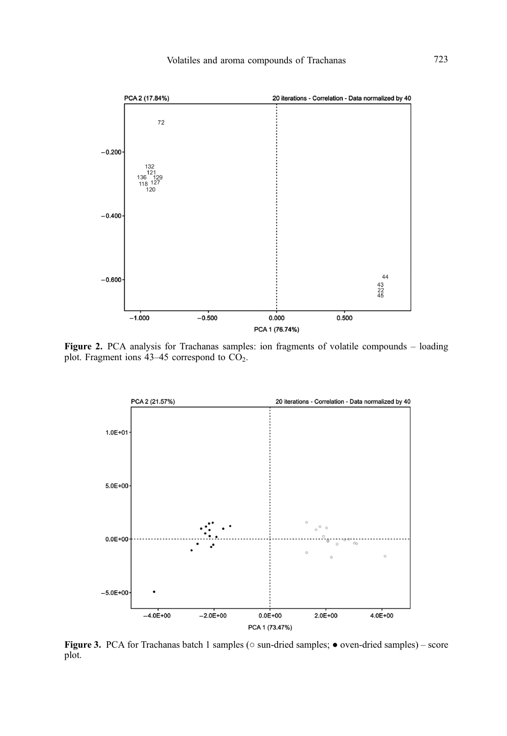<span id="page-8-0"></span>

Figure 2. PCA analysis for Trachanas samples: ion fragments of volatile compounds - loading plot. Fragment ions  $43-45$  correspond to  $CO<sub>2</sub>$ .



Figure 3. PCA for Trachanas batch 1 samples ( $\circ$  sun-dried samples;  $\bullet$  oven-dried samples) – score plot.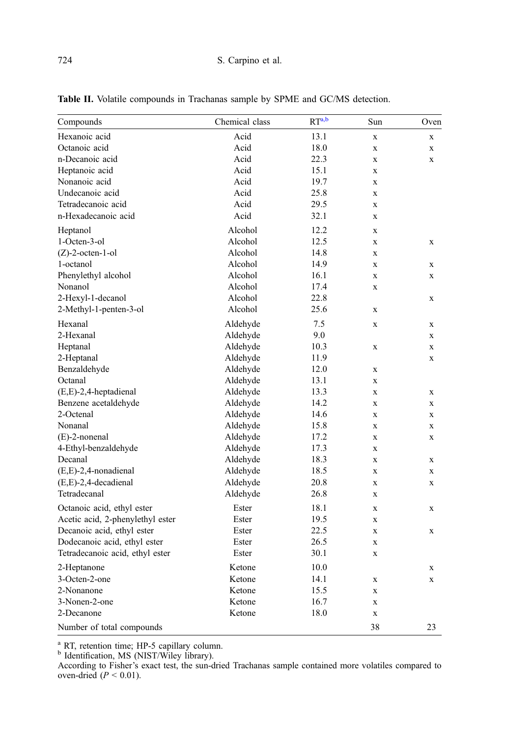| Compounds                        | Chemical class | RT <sup>a,b</sup> | Sun          | Oven        |
|----------------------------------|----------------|-------------------|--------------|-------------|
| Hexanoic acid                    | Acid           | 13.1              | $\mathbf x$  | $\mathbf X$ |
| Octanoic acid                    | Acid           | 18.0              | $\mathbf X$  | $\mathbf X$ |
| n-Decanoic acid                  | Acid           | 22.3              | $\mathbf x$  | $\mathbf X$ |
| Heptanoic acid                   | Acid           | 15.1              | $\bf{X}$     |             |
| Nonanoic acid                    | Acid           | 19.7              | $\mathbf x$  |             |
| Undecanoic acid                  | Acid           | 25.8              | $\mathbf X$  |             |
| Tetradecanoic acid               | Acid           | 29.5              | $\mathbf x$  |             |
| n-Hexadecanoic acid              | Acid           | 32.1              | X            |             |
| Heptanol                         | Alcohol        | 12.2              | $\mathbf x$  |             |
| 1-Octen-3-ol                     | Alcohol        | 12.5              | $\mathbf X$  | X           |
| $(Z)$ -2-octen-1-ol              | Alcohol        | 14.8              | $\mathbf x$  |             |
| 1-octanol                        | Alcohol        | 14.9              | $\mathbf x$  | X           |
| Phenylethyl alcohol              | Alcohol        | 16.1              | $\bf{X}$     | $\mathbf X$ |
| Nonanol                          | Alcohol        | 17.4              | X            |             |
| 2-Hexyl-1-decanol                | Alcohol        | 22.8              |              | $\mathbf x$ |
| 2-Methyl-1-penten-3-ol           | Alcohol        | 25.6              | X            |             |
| Hexanal                          | Aldehyde       | 7.5               | $\bf{X}$     | X           |
| 2-Hexanal                        | Aldehyde       | 9.0               |              | $\mathbf X$ |
| Heptanal                         | Aldehyde       | 10.3              | $\mathbf x$  | $\mathbf X$ |
| 2-Heptanal                       | Aldehyde       | 11.9              |              | X           |
| Benzaldehyde                     | Aldehyde       | 12.0              | $\mathbf x$  |             |
| Octanal                          | Aldehyde       | 13.1              | $\mathbf x$  |             |
| $(E,E)$ -2,4-heptadienal         | Aldehyde       | 13.3              | $\mathbf x$  | $\mathbf x$ |
| Benzene acetaldehyde             | Aldehyde       | 14.2              | $\mathbf X$  | X           |
| 2-Octenal                        | Aldehyde       | 14.6              | X            | X           |
| Nonanal                          | Aldehyde       | 15.8              | $\mathbf X$  | $\mathbf X$ |
| $(E)$ -2-nonenal                 | Aldehyde       | 17.2              | $\mathbf{x}$ | $\mathbf x$ |
| 4-Ethyl-benzaldehyde             | Aldehyde       | 17.3              | $\bf{X}$     |             |
| Decanal                          | Aldehyde       | 18.3              | $\mathbf x$  | $\mathbf x$ |
| $(E,E)$ -2,4-nonadienal          | Aldehyde       | 18.5              | $\mathbf X$  | $\mathbf X$ |
| $(E,E)-2,4$ -decadienal          | Aldehyde       | 20.8              | $\mathbf x$  | $\mathbf X$ |
| Tetradecanal                     | Aldehyde       | 26.8              | X            |             |
| Octanoic acid, ethyl ester       | Ester          | 18.1              | X            | X           |
| Acetic acid, 2-phenylethyl ester | Ester          | 19.5              | $\mathbf X$  |             |
| Decanoic acid, ethyl ester       | Ester          | 22.5              | $\mathbf{x}$ | X           |
| Dodecanoic acid, ethyl ester     | Ester          | 26.5              | $\bf{X}$     |             |
| Tetradecanoic acid, ethyl ester  | Ester          | 30.1              | $\mathbf X$  |             |
| 2-Heptanone                      | Ketone         | 10.0              |              | X           |
| 3-Octen-2-one                    | Ketone         | 14.1              | $\mathbf X$  | X           |
| 2-Nonanone                       | Ketone         | 15.5              | $\mathbf X$  |             |
| 3-Nonen-2-one                    | Ketone         | 16.7              | X            |             |
| 2-Decanone                       | Ketone         | 18.0              | X            |             |
| Number of total compounds        |                |                   | 38           | 23          |

<span id="page-9-0"></span>Table II. Volatile compounds in Trachanas sample by SPME and GC/MS detection.

<sup>a</sup> RT, retention time; HP-5 capillary column.<br><sup>b</sup> Identification, MS (NIST/Wiley library).

According to Fisher's exact test, the sun-dried Trachanas sample contained more volatiles compared to oven-dried  $(P < 0.01)$ .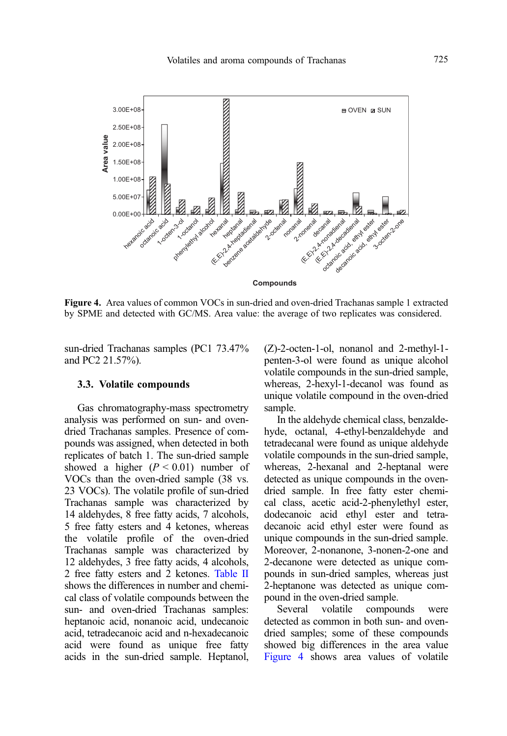

Figure 4. Area values of common VOCs in sun-dried and oven-dried Trachanas sample 1 extracted by SPME and detected with GC/MS. Area value: the average of two replicates was considered.

sun-dried Trachanas samples (PC1 73.47% and PC2 21.57%).

#### 3.3. Volatile compounds

Gas chromatography-mass spectrometry analysis was performed on sun- and ovendried Trachanas samples. Presence of compounds was assigned, when detected in both replicates of batch 1. The sun-dried sample showed a higher  $(P < 0.01)$  number of VOCs than the oven-dried sample (38 vs. 23 VOCs). The volatile profile of sun-dried Trachanas sample was characterized by 14 aldehydes, 8 free fatty acids, 7 alcohols, 5 free fatty esters and 4 ketones, whereas the volatile profile of the oven-dried Trachanas sample was characterized by 12 aldehydes, 3 free fatty acids, 4 alcohols, 2 free fatty esters and 2 ketones. [Table II](#page-7-0) shows the differences in number and chemical class of volatile compounds between the sun- and oven-dried Trachanas samples: heptanoic acid, nonanoic acid, undecanoic acid, tetradecanoic acid and n-hexadecanoic acid were found as unique free fatty acids in the sun-dried sample. Heptanol, (Z)-2-octen-1-ol, nonanol and 2-methyl-1 penten-3-ol were found as unique alcohol volatile compounds in the sun-dried sample, whereas, 2-hexyl-1-decanol was found as unique volatile compound in the oven-dried sample.

In the aldehyde chemical class, benzaldehyde, octanal, 4-ethyl-benzaldehyde and tetradecanal were found as unique aldehyde volatile compounds in the sun-dried sample, whereas, 2-hexanal and 2-heptanal were detected as unique compounds in the ovendried sample. In free fatty ester chemical class, acetic acid-2-phenylethyl ester, dodecanoic acid ethyl ester and tetradecanoic acid ethyl ester were found as unique compounds in the sun-dried sample. Moreover, 2-nonanone, 3-nonen-2-one and 2-decanone were detected as unique compounds in sun-dried samples, whereas just 2-heptanone was detected as unique compound in the oven-dried sample.

Several volatile compounds were detected as common in both sun- and ovendried samples; some of these compounds showed big differences in the area value Figure 4 shows area values of volatile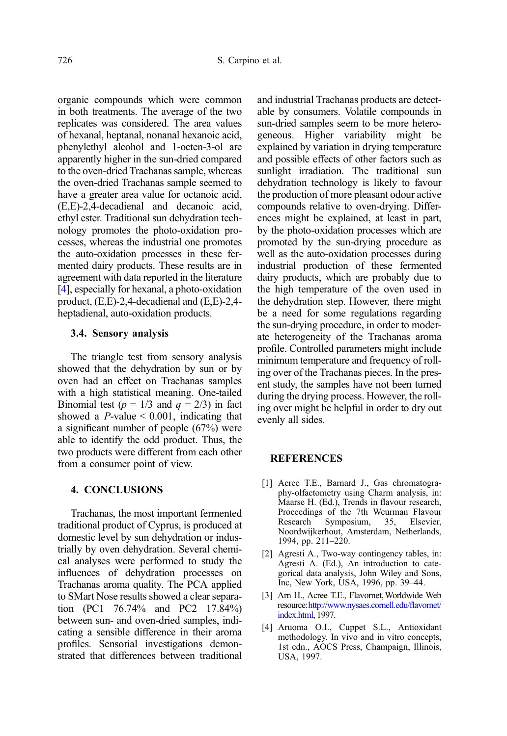<span id="page-11-0"></span>organic compounds which were common in both treatments. The average of the two replicates was considered. The area values of hexanal, heptanal, nonanal hexanoic acid, phenylethyl alcohol and 1-octen-3-ol are apparently higher in the sun-dried compared to the oven-dried Trachanas sample, whereas the oven-dried Trachanas sample seemed to have a greater area value for octanoic acid, (E,E)-2,4-decadienal and decanoic acid, ethyl ester. Traditional sun dehydration technology promotes the photo-oxidation processes, whereas the industrial one promotes the auto-oxidation processes in these fermented dairy products. These results are in agreement with data reported in the literature [4], especially for hexanal, a photo-oxidation product, (E,E)-2,4-decadienal and (E,E)-2,4 heptadienal, auto-oxidation products.

#### 3.4. Sensory analysis

The triangle test from sensory analysis showed that the dehydration by sun or by oven had an effect on Trachanas samples with a high statistical meaning. One-tailed Binomial test ( $p = 1/3$  and  $q = 2/3$ ) in fact showed a  $P$ -value  $\leq 0.001$ , indicating that a significant number of people (67%) were able to identify the odd product. Thus, the two products were different from each other from a consumer point of view.

## 4. CONCLUSIONS

Trachanas, the most important fermented traditional product of Cyprus, is produced at domestic level by sun dehydration or industrially by oven dehydration. Several chemical analyses were performed to study the influences of dehydration processes on Trachanas aroma quality. The PCA applied to SMart Nose results showed a clear separation (PC1 76.74% and PC2 17.84%) between sun- and oven-dried samples, indicating a sensible difference in their aroma profiles. Sensorial investigations demonstrated that differences between traditional and industrial Trachanas products are detectable by consumers. Volatile compounds in sun-dried samples seem to be more heterogeneous. Higher variability might be explained by variation in drying temperature and possible effects of other factors such as sunlight irradiation. The traditional sun dehydration technology is likely to favour the production of more pleasant odour active compounds relative to oven-drying. Differences might be explained, at least in part, by the photo-oxidation processes which are promoted by the sun-drying procedure as well as the auto-oxidation processes during industrial production of these fermented dairy products, which are probably due to the high temperature of the oven used in the dehydration step. However, there might be a need for some regulations regarding the sun-drying procedure, in order to moderate heterogeneity of the Trachanas aroma profile. Controlled parameters might include minimum temperature and frequency of rolling over of the Trachanas pieces. In the present study, the samples have not been turned during the drying process. However, the rolling over might be helpful in order to dry out evenly all sides.

## **REFERENCES**

- [1] Acree T.E., Barnard J., Gas chromatography-olfactometry using Charm analysis, in: Maarse H. (Ed.), Trends in flavour research, Proceedings of the 7th Weurman Flavour<br>Research Symposium, 35, Elsevier, 35, Elsevier, Noordwijkerhout, Amsterdam, Netherlands, 1994, pp. 211–220.
- [2] Agresti A., Two-way contingency tables, in: Agresti A. (Ed.), An introduction to categorical data analysis, John Wiley and Sons, Inc, New York, USA, 1996, pp. 39–44.
- [3] Arn H., Acree T.E., Flavornet,Worldwide Web resource:[http://www.nysaes.cornell.edu/](http://www.nysaes.cornell.edu/flavornet/index.html)flavornet/ [index.html](http://www.nysaes.cornell.edu/flavornet/index.html), 1997.
- [4] Aruoma O.I., Cuppet S.L., Antioxidant methodology. In vivo and in vitro concepts, 1st edn., AOCS Press, Champaign, Illinois, USA, 1997.